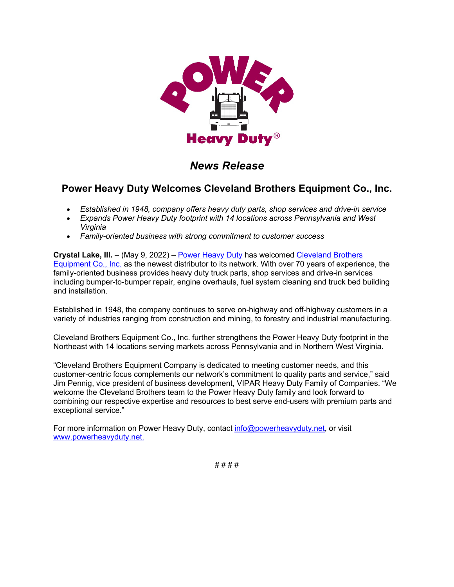

# *News Release*

## **Power Heavy Duty Welcomes Cleveland Brothers Equipment Co., Inc.**

- *Established in 1948, company offers heavy duty parts, shop services and drive-in service*
- *Expands Power Heavy Duty footprint with 14 locations across Pennsylvania and West Virginia*
- *Family-oriented business with strong commitment to customer success*

**Crystal Lake, Ill.** – (May 9, 2022) – [Power Heavy Duty](https://u7061146.ct.sendgrid.net/ls/click?upn=TeZUXWpUv-2B6TCY38pVLo9lTNwVr7dcp1ID0VDWoFbUNR3cIiu-2BnazcYk8OwnIXBSeaKO_GVJEK9O3SNtoXCTVqtHHuZICRv8AuvD4nhCr-2BqrWSGS8N6cTJ8XRV2w4l5jTFK2pCNSYBabxgLaAiDRZ36erfTgYSIuiV3hDk3ZpzR5cCyDdKUVfLsb0pevk7qrMPieT-2BMHAzcuYqjSjcTKqgnB4AacdkaHWe57f5b2m3Wfmr-2F2Kt-2BV0XxUE7JUX40VdZXsG0xU-2Fu10sc3IHi-2BUPCoduBkkFY8FPo6U-2FzUWwPLRe-2B-2BJqzTT8ocxukAwl0gXVpHBeaNkX7S9PBSq7gm2VkRhQCC3ryxPWXWynnF0z8o-2Beyrzbb51Mhj2IpIGZK0T-2FqQh-2FKPEqefnqTuEYkSvUCCAPjSdPjwcpJKOpf6kuxGRE6Bs-3D) has welcomed [Cleveland Brothers](https://u7061146.ct.sendgrid.net/ls/click?upn=4tNED-2FM8iDZJQyQ53jATUZEI8gFdpfzXoi1vxoSEX4ttiEx5iDK0GkQ5Xe5r73xUfj_E_GVJEK9O3SNtoXCTVqtHHuZICRv8AuvD4nhCr-2BqrWSGS8N6cTJ8XRV2w4l5jTFK2pCNSYBabxgLaAiDRZ36erfTgYSIuiV3hDk3ZpzR5cCyDdKUVfLsb0pevk7qrMPieT-2BMHAzcuYqjSjcTKqgnB4AacdkaHWe57f5b2m3Wfmr-2F2Kt-2BV0XxUE7JUX40VdZXsGWgAzikOF-2FmKS-2BYI3wr9J50uD7eyWNH5W2Q7id71UsRbDQCfKZDnibzNljt7srQHQK9RPMXHfEr0UEYHgpZd2yjRvNQ9FQV8r6RnWZgOQIavME1I9jNVeUIJjMv0FWzv1W8-2BOkRh5RrXYTTGTxjs9xqRtSeOoRtvenDYuK1LG1BA-3D)  [Equipment Co., Inc.](https://u7061146.ct.sendgrid.net/ls/click?upn=4tNED-2FM8iDZJQyQ53jATUZEI8gFdpfzXoi1vxoSEX4ttiEx5iDK0GkQ5Xe5r73xUfj_E_GVJEK9O3SNtoXCTVqtHHuZICRv8AuvD4nhCr-2BqrWSGS8N6cTJ8XRV2w4l5jTFK2pCNSYBabxgLaAiDRZ36erfTgYSIuiV3hDk3ZpzR5cCyDdKUVfLsb0pevk7qrMPieT-2BMHAzcuYqjSjcTKqgnB4AacdkaHWe57f5b2m3Wfmr-2F2Kt-2BV0XxUE7JUX40VdZXsGWgAzikOF-2FmKS-2BYI3wr9J50uD7eyWNH5W2Q7id71UsRbDQCfKZDnibzNljt7srQHQK9RPMXHfEr0UEYHgpZd2yjRvNQ9FQV8r6RnWZgOQIavME1I9jNVeUIJjMv0FWzv1W8-2BOkRh5RrXYTTGTxjs9xqRtSeOoRtvenDYuK1LG1BA-3D) as the newest distributor to its network. With over 70 years of experience, the family-oriented business provides heavy duty truck parts, shop services and drive-in services including bumper-to-bumper repair, engine overhauls, fuel system cleaning and truck bed building and installation.

Established in 1948, the company continues to serve on-highway and off-highway customers in a variety of industries ranging from construction and mining, to forestry and industrial manufacturing.

Cleveland Brothers Equipment Co., Inc. further strengthens the Power Heavy Duty footprint in the Northeast with 14 locations serving markets across Pennsylvania and in Northern West Virginia.

"Cleveland Brothers Equipment Company is dedicated to meeting customer needs, and this customer-centric focus complements our network's commitment to quality parts and service," said Jim Pennig, vice president of business development, VIPAR Heavy Duty Family of Companies. "We welcome the Cleveland Brothers team to the Power Heavy Duty family and look forward to combining our respective expertise and resources to best serve end-users with premium parts and exceptional service."

For more information on Power Heavy Duty, contact [info@powerheavyduty.net,](mailto:info@powerheavyduty.net) or visit [www.powerheavyduty.net.](https://u7061146.ct.sendgrid.net/ls/click?upn=4tNED-2FM8iDZJQyQ53jATUd1gOWGyyREHiaxJ1NU0Q9tjkxy0CFcmCH3nleILYEpN2VgUoR3K4GYaZV5fGsyVS6GEwu4bGThaxZGjilp4vfVVR-2BF4GHjXjNodHahjNyEtBpeCAll-2B-2FA8QakayBXme84j3GzYAPWIuMt1Xp5bKRK-2FIukw6pjvrH7UVMRDHguRn-2BylgICDZ0VuyFoI6KeWXb2gLwdzbjp0euLEx3PaqftedS-2F8tD2Vgmvn0EC8J1dsruRxfKrDCy9b5GAOIGuIkU0bZ2W3EgB6zFdnaxd4EF-2FK0AVhyo2QbQ2MVda4LquXfV4-2BIiFo-2BH6nt8VNvRgb9m7JcUGGQoWTbZIRkyupWViT3ts4UhFTVtxsMNddKF4vMvlE-2BW8tK0KFf5KbGY2biiPx8IabxiDYJC2PSvbQSLBdhdmqb-2BZ-2Fk3dvT4c5TVkVLBKWCZ2hzZAtNPMOPO4XN7gSRbKbVFH-2B-2FCXt2N-2F-2FCw3s-2B7X4ST1VKEuqoM5QtkWY6oSOpYCI0lyoI1p-2FbNsRUXnIT0YQElqEZWlextLwmVWW3cFGdXUVbOkKNcT7M-2BIh-2FJPNCPHW-2FbwrJEE-2BXE3H-2BLJWJaWDU7D-2BfrgPeVMlV65ri-2BZlTqt4I2okLAzNcnl7fXxGtmeTNQghigHuMS1Q4zg-3D-3DcZ1Y_GVJEK9O3SNtoXCTVqtHHuZICRv8AuvD4nhCr-2BqrWSGS8N6cTJ8XRV2w4l5jTFK2pCNSYBabxgLaAiDRZ36erfTgYSIuiV3hDk3ZpzR5cCyDdKUVfLsb0pevk7qrMPieT-2BMHAzcuYqjSjcTKqgnB4AacdkaHWe57f5b2m3Wfmr-2F2Kt-2BV0XxUE7JUX40VdZXsGCcWQ1hCzC0hcFednx9HhR53sGb-2FJnpUroueYQ-2BcMq9oVjX2jlraUggFoN4M3lUfKRm3qnHo-2BAoRI1GZA39PocT9Eb5nI0RHJSKfduawrY363oVKT7obXsAkYbE-2FieHnyywUOay4IQc-2BqF1RtpcRRqJgieYwW7VFSMUnalwjEwz8-3D)

# # # #